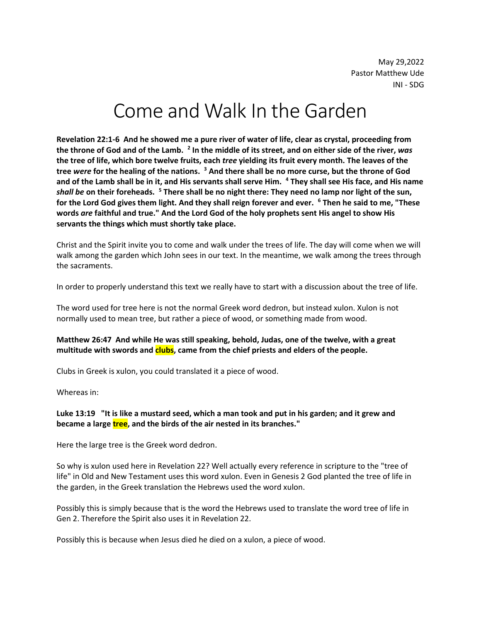May 29,2022 Pastor Matthew Ude INI - SDG

# Come and Walk In the Garden

**Revelation 22:1-6 And he showed me a pure river of water of life, clear as crystal, proceeding from the throne of God and of the Lamb. <sup>2</sup> In the middle of its street, and on either side of the river,** *was*  **the tree of life, which bore twelve fruits, each** *tree* **yielding its fruit every month. The leaves of the tree** *were* **for the healing of the nations. <sup>3</sup> And there shall be no more curse, but the throne of God and of the Lamb shall be in it, and His servants shall serve Him. <sup>4</sup> They shall see His face, and His name**  *shall be* **on their foreheads. <sup>5</sup> There shall be no night there: They need no lamp nor light of the sun, for the Lord God gives them light. And they shall reign forever and ever. <sup>6</sup> Then he said to me, "These words** *are* **faithful and true." And the Lord God of the holy prophets sent His angel to show His servants the things which must shortly take place.**

Christ and the Spirit invite you to come and walk under the trees of life. The day will come when we will walk among the garden which John sees in our text. In the meantime, we walk among the trees through the sacraments.

In order to properly understand this text we really have to start with a discussion about the tree of life.

The word used for tree here is not the normal Greek word dedron, but instead xulon. Xulon is not normally used to mean tree, but rather a piece of wood, or something made from wood.

## **Matthew 26:47 And while He was still speaking, behold, Judas, one of the twelve, with a great multitude with swords and clubs, came from the chief priests and elders of the people.**

Clubs in Greek is xulon, you could translated it a piece of wood.

Whereas in:

## **Luke 13:19 "It is like a mustard seed, which a man took and put in his garden; and it grew and became a large tree, and the birds of the air nested in its branches."**

Here the large tree is the Greek word dedron.

So why is xulon used here in Revelation 22? Well actually every reference in scripture to the "tree of life" in Old and New Testament uses this word xulon. Even in Genesis 2 God planted the tree of life in the garden, in the Greek translation the Hebrews used the word xulon.

Possibly this is simply because that is the word the Hebrews used to translate the word tree of life in Gen 2. Therefore the Spirit also uses it in Revelation 22.

Possibly this is because when Jesus died he died on a xulon, a piece of wood.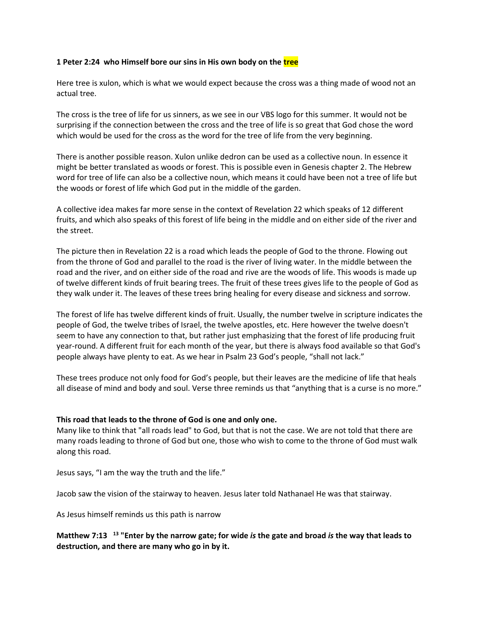## **1 Peter 2:24 who Himself bore our sins in His own body on the tree**

Here tree is xulon, which is what we would expect because the cross was a thing made of wood not an actual tree.

The cross is the tree of life for us sinners, as we see in our VBS logo for this summer. It would not be surprising if the connection between the cross and the tree of life is so great that God chose the word which would be used for the cross as the word for the tree of life from the very beginning.

There is another possible reason. Xulon unlike dedron can be used as a collective noun. In essence it might be better translated as woods or forest. This is possible even in Genesis chapter 2. The Hebrew word for tree of life can also be a collective noun, which means it could have been not a tree of life but the woods or forest of life which God put in the middle of the garden.

A collective idea makes far more sense in the context of Revelation 22 which speaks of 12 different fruits, and which also speaks of this forest of life being in the middle and on either side of the river and the street.

The picture then in Revelation 22 is a road which leads the people of God to the throne. Flowing out from the throne of God and parallel to the road is the river of living water. In the middle between the road and the river, and on either side of the road and rive are the woods of life. This woods is made up of twelve different kinds of fruit bearing trees. The fruit of these trees gives life to the people of God as they walk under it. The leaves of these trees bring healing for every disease and sickness and sorrow.

The forest of life has twelve different kinds of fruit. Usually, the number twelve in scripture indicates the people of God, the twelve tribes of Israel, the twelve apostles, etc. Here however the twelve doesn't seem to have any connection to that, but rather just emphasizing that the forest of life producing fruit year-round. A different fruit for each month of the year, but there is always food available so that God's people always have plenty to eat. As we hear in Psalm 23 God's people, "shall not lack."

These trees produce not only food for God's people, but their leaves are the medicine of life that heals all disease of mind and body and soul. Verse three reminds us that "anything that is a curse is no more."

#### **This road that leads to the throne of God is one and only one.**

Many like to think that "all roads lead" to God, but that is not the case. We are not told that there are many roads leading to throne of God but one, those who wish to come to the throne of God must walk along this road.

Jesus says, "I am the way the truth and the life."

Jacob saw the vision of the stairway to heaven. Jesus later told Nathanael He was that stairway.

As Jesus himself reminds us this path is narrow

# **Matthew 7:13 <sup>13</sup> "Enter by the narrow gate; for wide** *is* **the gate and broad** *is* **the way that leads to destruction, and there are many who go in by it.**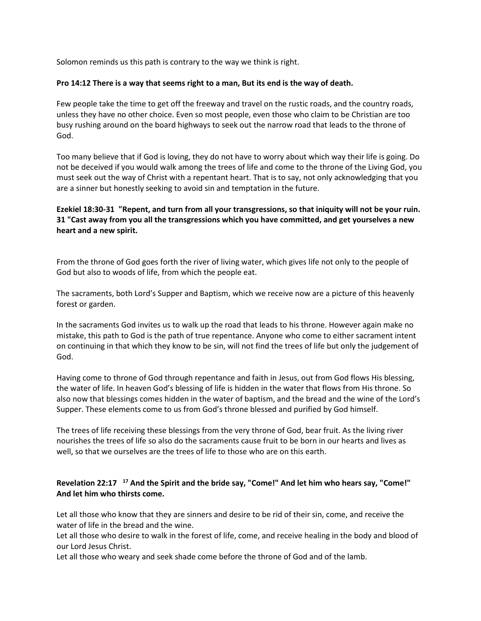Solomon reminds us this path is contrary to the way we think is right.

### **Pro 14:12 There is a way that seems right to a man, But its end is the way of death.**

Few people take the time to get off the freeway and travel on the rustic roads, and the country roads, unless they have no other choice. Even so most people, even those who claim to be Christian are too busy rushing around on the board highways to seek out the narrow road that leads to the throne of God.

Too many believe that if God is loving, they do not have to worry about which way their life is going. Do not be deceived if you would walk among the trees of life and come to the throne of the Living God, you must seek out the way of Christ with a repentant heart. That is to say, not only acknowledging that you are a sinner but honestly seeking to avoid sin and temptation in the future.

## **Ezekiel 18:30-31 "Repent, and turn from all your transgressions, so that iniquity will not be your ruin. 31 "Cast away from you all the transgressions which you have committed, and get yourselves a new heart and a new spirit.**

From the throne of God goes forth the river of living water, which gives life not only to the people of God but also to woods of life, from which the people eat.

The sacraments, both Lord's Supper and Baptism, which we receive now are a picture of this heavenly forest or garden.

In the sacraments God invites us to walk up the road that leads to his throne. However again make no mistake, this path to God is the path of true repentance. Anyone who come to either sacrament intent on continuing in that which they know to be sin, will not find the trees of life but only the judgement of God.

Having come to throne of God through repentance and faith in Jesus, out from God flows His blessing, the water of life. In heaven God's blessing of life is hidden in the water that flows from His throne. So also now that blessings comes hidden in the water of baptism, and the bread and the wine of the Lord's Supper. These elements come to us from God's throne blessed and purified by God himself.

The trees of life receiving these blessings from the very throne of God, bear fruit. As the living river nourishes the trees of life so also do the sacraments cause fruit to be born in our hearts and lives as well, so that we ourselves are the trees of life to those who are on this earth.

## **Revelation 22:17 <sup>17</sup> And the Spirit and the bride say, "Come!" And let him who hears say, "Come!" And let him who thirsts come.**

Let all those who know that they are sinners and desire to be rid of their sin, come, and receive the water of life in the bread and the wine.

Let all those who desire to walk in the forest of life, come, and receive healing in the body and blood of our Lord Jesus Christ.

Let all those who weary and seek shade come before the throne of God and of the lamb.